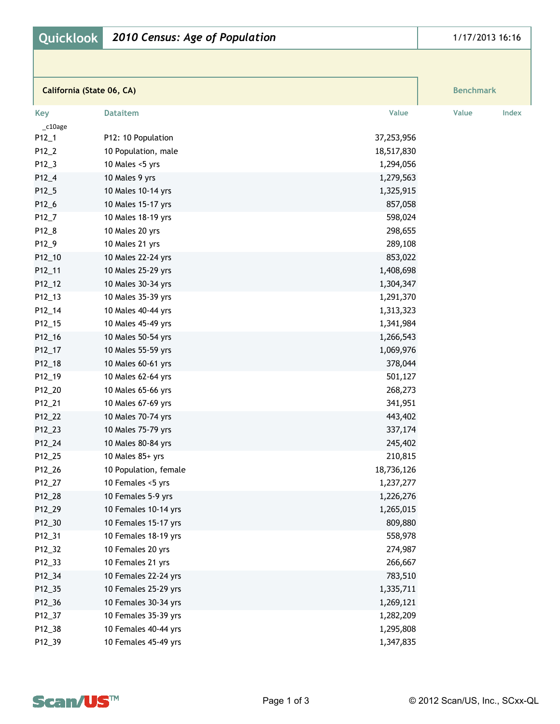|           | California (State 06, CA) |            | <b>Benchmark</b> |
|-----------|---------------------------|------------|------------------|
| Key       | <b>Dataitem</b>           | Value      | Value<br>Index   |
| $c10$ age |                           |            |                  |
| $P12_1$   | P12: 10 Population        | 37,253,956 |                  |
| P12_2     | 10 Population, male       | 18,517,830 |                  |
| P12_3     | 10 Males <5 yrs           | 1,294,056  |                  |
| P12_4     | 10 Males 9 yrs            | 1,279,563  |                  |
| $P12_5$   | 10 Males 10-14 yrs        | 1,325,915  |                  |
| P12_6     | 10 Males 15-17 yrs        | 857,058    |                  |
| P12_7     | 10 Males 18-19 yrs        | 598,024    |                  |
| P12_8     | 10 Males 20 yrs           | 298,655    |                  |
| P12_9     | 10 Males 21 yrs           | 289,108    |                  |
| P12_10    | 10 Males 22-24 yrs        | 853,022    |                  |
| P12_11    | 10 Males 25-29 yrs        | 1,408,698  |                  |
| P12_12    | 10 Males 30-34 yrs        | 1,304,347  |                  |
| P12_13    | 10 Males 35-39 yrs        | 1,291,370  |                  |
| P12_14    | 10 Males 40-44 yrs        | 1,313,323  |                  |
| P12_15    | 10 Males 45-49 yrs        | 1,341,984  |                  |
| P12_16    | 10 Males 50-54 yrs        | 1,266,543  |                  |
| P12_17    | 10 Males 55-59 yrs        | 1,069,976  |                  |
| P12_18    | 10 Males 60-61 yrs        | 378,044    |                  |
| P12_19    | 10 Males 62-64 yrs        | 501,127    |                  |
| P12_20    | 10 Males 65-66 yrs        | 268,273    |                  |
| P12_21    | 10 Males 67-69 yrs        | 341,951    |                  |
| P12_22    | 10 Males 70-74 yrs        | 443,402    |                  |
| P12_23    | 10 Males 75-79 yrs        | 337,174    |                  |
| P12_24    | 10 Males 80-84 yrs        | 245,402    |                  |
| P12_25    | 10 Males 85+ yrs          | 210,815    |                  |
| P12_26    | 10 Population, female     | 18,736,126 |                  |
| P12_27    | 10 Females <5 yrs         | 1,237,277  |                  |
| P12_28    | 10 Females 5-9 yrs        | 1,226,276  |                  |
| P12_29    | 10 Females 10-14 yrs      | 1,265,015  |                  |
| P12_30    | 10 Females 15-17 yrs      | 809,880    |                  |
| P12_31    | 10 Females 18-19 yrs      | 558,978    |                  |
| P12_32    | 10 Females 20 yrs         | 274,987    |                  |
| P12_33    | 10 Females 21 yrs         | 266,667    |                  |
| P12_34    | 10 Females 22-24 yrs      | 783,510    |                  |
| P12_35    | 10 Females 25-29 yrs      | 1,335,711  |                  |
| P12_36    | 10 Females 30-34 yrs      | 1,269,121  |                  |
| P12_37    | 10 Females 35-39 yrs      | 1,282,209  |                  |
| P12_38    | 10 Females 40-44 yrs      | 1,295,808  |                  |
| P12_39    | 10 Females 45-49 yrs      | 1,347,835  |                  |

**Quicklook** *2010 Census: Age of Population*



1/17/2013 16:16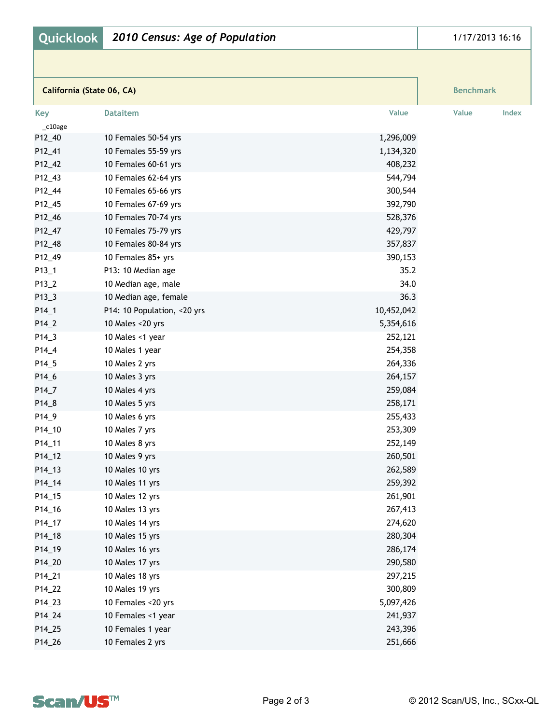|                | California (State 06, CA)   |            | <b>Benchmark</b> |       |
|----------------|-----------------------------|------------|------------------|-------|
| Key<br>_c10age | <b>Dataitem</b>             | Value      | Value            | Index |
| P12_40         | 10 Females 50-54 yrs        | 1,296,009  |                  |       |
| P12_41         | 10 Females 55-59 yrs        | 1,134,320  |                  |       |
| P12_42         | 10 Females 60-61 yrs        | 408,232    |                  |       |
| P12_43         | 10 Females 62-64 yrs        | 544,794    |                  |       |
| P12_44         | 10 Females 65-66 yrs        | 300,544    |                  |       |
| P12_45         | 10 Females 67-69 yrs        | 392,790    |                  |       |
| P12_46         | 10 Females 70-74 yrs        | 528,376    |                  |       |
| P12_47         | 10 Females 75-79 yrs        | 429,797    |                  |       |
| P12_48         | 10 Females 80-84 yrs        | 357,837    |                  |       |
| P12_49         | 10 Females 85+ yrs          | 390,153    |                  |       |
| $P13_1$        | P13: 10 Median age          | 35.2       |                  |       |
| P13_2          | 10 Median age, male         | 34.0       |                  |       |
| $P13_3$        | 10 Median age, female       | 36.3       |                  |       |
| $P14_1$        | P14: 10 Population, <20 yrs | 10,452,042 |                  |       |
| P14_2          | 10 Males <20 yrs            | 5,354,616  |                  |       |
| P14_3          | 10 Males <1 year            | 252,121    |                  |       |
| P14_4          | 10 Males 1 year             | 254,358    |                  |       |
| $P14_5$        | 10 Males 2 yrs              | 264,336    |                  |       |
| P14_6          | 10 Males 3 yrs              | 264,157    |                  |       |
| P14_7          | 10 Males 4 yrs              | 259,084    |                  |       |
| $P14_8$        | 10 Males 5 yrs              | 258,171    |                  |       |
| P14_9          | 10 Males 6 yrs              | 255,433    |                  |       |
| P14_10         | 10 Males 7 yrs              | 253,309    |                  |       |
| P14_11         | 10 Males 8 yrs              | 252,149    |                  |       |
| P14_12         | 10 Males 9 yrs              | 260,501    |                  |       |
| P14_13         | 10 Males 10 yrs             | 262,589    |                  |       |
| P14_14         | 10 Males 11 yrs             | 259,392    |                  |       |
| P14_15         | 10 Males 12 yrs             | 261,901    |                  |       |
| P14_16         | 10 Males 13 yrs             | 267,413    |                  |       |
| P14_17         | 10 Males 14 yrs             | 274,620    |                  |       |
| P14_18         | 10 Males 15 yrs             | 280,304    |                  |       |
| P14_19         | 10 Males 16 yrs             | 286,174    |                  |       |
| P14_20         | 10 Males 17 yrs             | 290,580    |                  |       |
| P14_21         | 10 Males 18 yrs             | 297,215    |                  |       |
| P14_22         | 10 Males 19 yrs             | 300,809    |                  |       |
| P14_23         | 10 Females <20 yrs          | 5,097,426  |                  |       |
| P14_24         | 10 Females <1 year          | 241,937    |                  |       |
| P14_25         | 10 Females 1 year           | 243,396    |                  |       |
| P14_26         | 10 Females 2 yrs            | 251,666    |                  |       |

**Quicklook** *2010 Census: Age of Population*



1/17/2013 16:16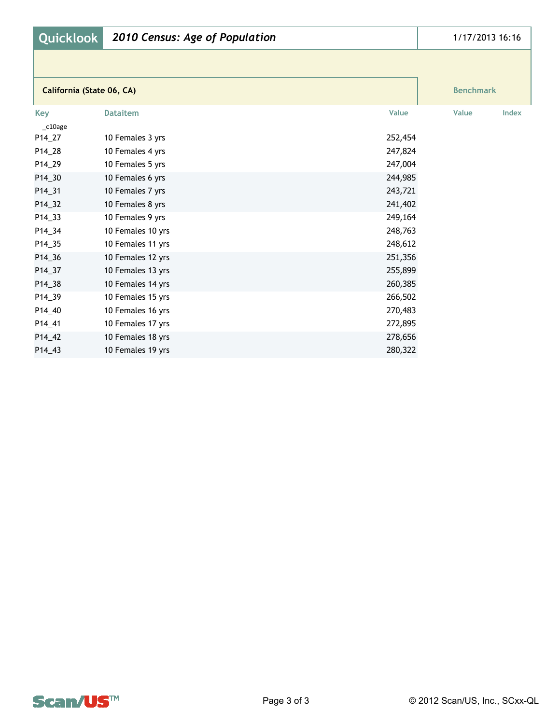| <b>Quicklook</b>          | 2010 Census: Age of Population |         | 1/17/2013 16:16  |
|---------------------------|--------------------------------|---------|------------------|
|                           |                                |         |                  |
| California (State 06, CA) |                                |         | <b>Benchmark</b> |
| <b>Key</b>                | <b>Dataitem</b>                | Value   | Value<br>Index   |
| $c10$ age                 |                                |         |                  |
| P14_27                    | 10 Females 3 yrs               | 252,454 |                  |
| P14_28                    | 10 Females 4 yrs               | 247,824 |                  |
| P14_29                    | 10 Females 5 yrs               | 247,004 |                  |
| P14_30                    | 10 Females 6 yrs               | 244,985 |                  |
| P14_31                    | 10 Females 7 yrs               | 243,721 |                  |
| P14_32                    | 10 Females 8 yrs               | 241,402 |                  |
| P14_33                    | 10 Females 9 yrs               | 249,164 |                  |
| P14_34                    | 10 Females 10 yrs              | 248,763 |                  |
| P14_35                    | 10 Females 11 yrs              | 248,612 |                  |
| P14_36                    | 10 Females 12 yrs              | 251,356 |                  |
| P14_37                    | 10 Females 13 yrs              | 255,899 |                  |
| P14_38                    | 10 Females 14 yrs              | 260,385 |                  |
| P14_39                    | 10 Females 15 yrs              | 266,502 |                  |
| P14_40                    | 10 Females 16 yrs              | 270,483 |                  |
| P14_41                    | 10 Females 17 yrs              | 272,895 |                  |
| P14_42                    | 10 Females 18 yrs              | 278,656 |                  |
| P14_43                    | 10 Females 19 yrs              | 280,322 |                  |

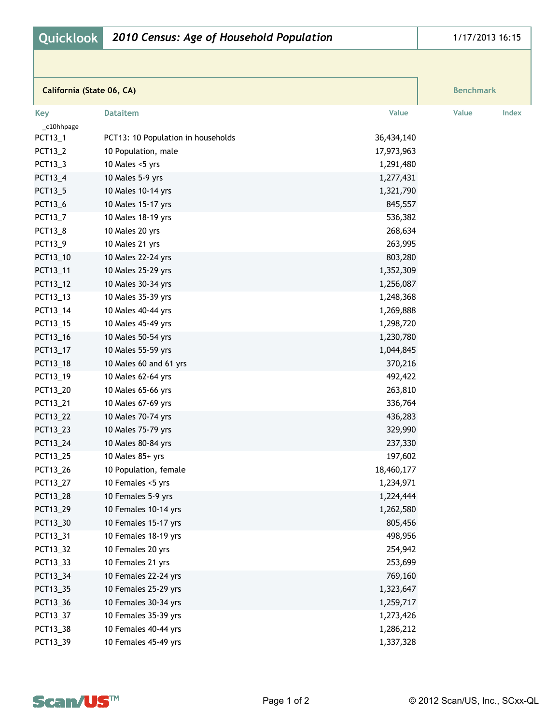| Quicklook<br>2010 Census: Age of Household Population |                                    | 1/17/2013 16:15 |                  |
|-------------------------------------------------------|------------------------------------|-----------------|------------------|
|                                                       |                                    |                 |                  |
| California (State 06, CA)                             |                                    |                 | <b>Benchmark</b> |
| <b>Key</b>                                            | <b>Dataitem</b>                    | Value           | Value<br>Index   |
| _c10hhpage                                            |                                    |                 |                  |
| PCT13_1                                               | PCT13: 10 Population in households | 36,434,140      |                  |
| PCT13_2                                               | 10 Population, male                | 17,973,963      |                  |
| PCT13_3                                               | 10 Males <5 yrs                    | 1,291,480       |                  |
| PCT13_4                                               | 10 Males 5-9 yrs                   | 1,277,431       |                  |
| PCT13_5                                               | 10 Males 10-14 yrs                 | 1,321,790       |                  |
| PCT13_6                                               | 10 Males 15-17 yrs                 | 845,557         |                  |
| PCT13_7                                               | 10 Males 18-19 yrs                 | 536,382         |                  |
| PCT13_8                                               | 10 Males 20 yrs                    | 268,634         |                  |
| PCT13_9                                               | 10 Males 21 yrs                    | 263,995         |                  |
| PCT13_10                                              | 10 Males 22-24 yrs                 | 803,280         |                  |
| PCT13_11                                              | 10 Males 25-29 yrs                 | 1,352,309       |                  |
| PCT13_12                                              | 10 Males 30-34 yrs                 | 1,256,087       |                  |
| PCT13_13                                              | 10 Males 35-39 yrs                 | 1,248,368       |                  |
| PCT13_14                                              | 10 Males 40-44 yrs                 | 1,269,888       |                  |
| PCT13_15                                              | 10 Males 45-49 yrs                 | 1,298,720       |                  |
| PCT13_16                                              | 10 Males 50-54 yrs                 | 1,230,780       |                  |
| PCT13_17                                              | 10 Males 55-59 yrs                 | 1,044,845       |                  |
| PCT13_18                                              | 10 Males 60 and 61 yrs             | 370,216         |                  |
| PCT13_19                                              | 10 Males 62-64 yrs                 | 492,422         |                  |
| PCT13_20                                              | 10 Males 65-66 yrs                 | 263,810         |                  |
| PCT13_21                                              | 10 Males 67-69 yrs                 | 336,764         |                  |
| PCT13_22                                              | 10 Males 70-74 yrs                 | 436,283         |                  |
| PCT13_23                                              | 10 Males 75-79 yrs                 | 329,990         |                  |
| PCT13_24                                              | 10 Males 80-84 yrs                 | 237,330         |                  |
| PCT13_25                                              | 10 Males 85+ yrs                   | 197,602         |                  |
| PCT13_26                                              | 10 Population, female              | 18,460,177      |                  |
| PCT13_27                                              | 10 Females <5 yrs                  | 1,234,971       |                  |
| PCT13_28                                              | 10 Females 5-9 yrs                 | 1,224,444       |                  |
| PCT13_29                                              | 10 Females 10-14 yrs               | 1,262,580       |                  |
| PCT13_30                                              | 10 Females 15-17 yrs               | 805,456         |                  |
| PCT13_31                                              | 10 Females 18-19 yrs               | 498,956         |                  |
| PCT13_32                                              | 10 Females 20 yrs                  | 254,942         |                  |
| PCT13_33                                              | 10 Females 21 yrs                  | 253,699         |                  |
| PCT13_34                                              | 10 Females 22-24 yrs               | 769,160         |                  |
| PCT13_35                                              | 10 Females 25-29 yrs               | 1,323,647       |                  |
| PCT13_36                                              | 10 Females 30-34 yrs               | 1,259,717       |                  |
| PCT13_37                                              | 10 Females 35-39 yrs               | 1,273,426       |                  |
| PCT13_38                                              | 10 Females 40-44 yrs               | 1,286,212       |                  |
| PCT13_39                                              | 10 Females 45-49 yrs               | 1,337,328       |                  |

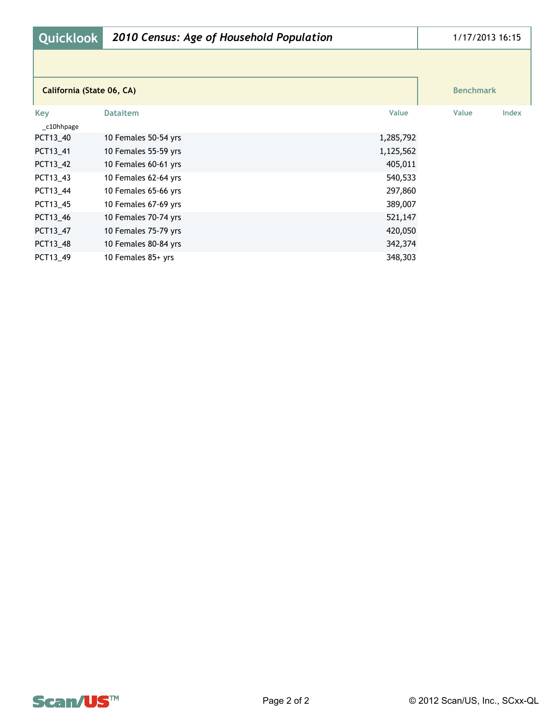| <b>Quicklook</b>          | 2010 Census: Age of Household Population |           | 1/17/2013 16:15  |       |
|---------------------------|------------------------------------------|-----------|------------------|-------|
|                           |                                          |           |                  |       |
| California (State 06, CA) |                                          |           | <b>Benchmark</b> |       |
| Key<br>_c10hhpage         | <b>Dataitem</b>                          | Value     | Value            | Index |
| PCT13 40                  | 10 Females 50-54 yrs                     | 1,285,792 |                  |       |
| PCT13 41                  | 10 Females 55-59 yrs                     | 1,125,562 |                  |       |
| PCT13_42                  | 10 Females 60-61 yrs                     | 405,011   |                  |       |
| PCT13_43                  | 10 Females 62-64 yrs                     | 540,533   |                  |       |
| PCT13_44                  | 10 Females 65-66 yrs                     | 297,860   |                  |       |
| PCT13_45                  | 10 Females 67-69 yrs                     | 389,007   |                  |       |
| PCT13_46                  | 10 Females 70-74 yrs                     | 521,147   |                  |       |
| PCT13_47                  | 10 Females 75-79 yrs                     | 420,050   |                  |       |
| PCT13_48                  | 10 Females 80-84 yrs                     | 342,374   |                  |       |
| PCT13 49                  | 10 Females 85+ yrs                       | 348,303   |                  |       |

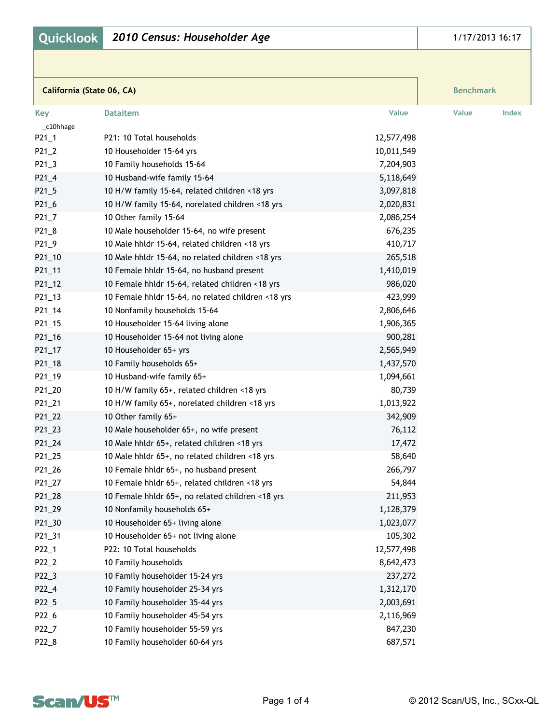|  | Quicklook   2010 Census: Householder Age |  |  |
|--|------------------------------------------|--|--|
|--|------------------------------------------|--|--|

| California (State 06, CA) |                                                    |            | <b>Benchmark</b> |
|---------------------------|----------------------------------------------------|------------|------------------|
| <b>Key</b>                | <b>Dataitem</b>                                    | Value      | Value<br>Index   |
| c10hhage                  |                                                    |            |                  |
| $P21_1$                   | P21: 10 Total households                           | 12,577,498 |                  |
| $P21_2$                   | 10 Householder 15-64 yrs                           | 10,011,549 |                  |
| $P21_3$                   | 10 Family households 15-64                         | 7,204,903  |                  |
| $P21_4$                   | 10 Husband-wife family 15-64                       | 5,118,649  |                  |
| $P21_5$                   | 10 H/W family 15-64, related children <18 yrs      | 3,097,818  |                  |
| P21_6                     | 10 H/W family 15-64, norelated children <18 yrs    | 2,020,831  |                  |
| $P21_7$                   | 10 Other family 15-64                              | 2,086,254  |                  |
| P21_8                     | 10 Male householder 15-64, no wife present         | 676,235    |                  |
| P21_9                     | 10 Male hhldr 15-64, related children <18 yrs      | 410,717    |                  |
| P21_10                    | 10 Male hhldr 15-64, no related children <18 yrs   | 265,518    |                  |
| P21_11                    | 10 Female hhldr 15-64, no husband present          | 1,410,019  |                  |
| $P21_12$                  | 10 Female hhldr 15-64, related children <18 yrs    | 986,020    |                  |
| P21_13                    | 10 Female hhldr 15-64, no related children <18 yrs | 423,999    |                  |
| P21_14                    | 10 Nonfamily households 15-64                      | 2,806,646  |                  |
| P21_15                    | 10 Householder 15-64 living alone                  | 1,906,365  |                  |
| P21_16                    | 10 Householder 15-64 not living alone              | 900,281    |                  |
| P21_17                    | 10 Householder 65+ yrs                             | 2,565,949  |                  |
| P21_18                    | 10 Family households 65+                           | 1,437,570  |                  |
| P21_19                    | 10 Husband-wife family 65+                         | 1,094,661  |                  |
| P21_20                    | 10 H/W family 65+, related children <18 yrs        | 80,739     |                  |
| P21_21                    | 10 H/W family 65+, norelated children <18 yrs      | 1,013,922  |                  |
| P21_22                    | 10 Other family 65+                                | 342,909    |                  |
| P21_23                    | 10 Male householder 65+, no wife present           | 76,112     |                  |
| P21_24                    | 10 Male hhldr 65+, related children <18 yrs        | 17,472     |                  |
| P21_25                    | 10 Male hhldr 65+, no related children <18 yrs     | 58,640     |                  |
| P21_26                    | 10 Female hhldr 65+, no husband present            | 266,797    |                  |
| P21_27                    | 10 Female hhldr 65+, related children <18 yrs      | 54,844     |                  |
| P21_28                    | 10 Female hhldr 65+, no related children <18 yrs   | 211,953    |                  |
| P21_29                    | 10 Nonfamily households 65+                        | 1,128,379  |                  |
| P21_30                    | 10 Householder 65+ living alone                    | 1,023,077  |                  |
| P21_31                    | 10 Householder 65+ not living alone                | 105,302    |                  |
| P22_1                     | P22: 10 Total households                           | 12,577,498 |                  |
| P22_2                     | 10 Family households                               | 8,642,473  |                  |
| P22_3                     | 10 Family householder 15-24 yrs                    | 237,272    |                  |
| P22_4                     | 10 Family householder 25-34 yrs                    | 1,312,170  |                  |
| P22_5                     | 10 Family householder 35-44 yrs                    | 2,003,691  |                  |
| P22_6                     | 10 Family householder 45-54 yrs                    | 2,116,969  |                  |
|                           | 10 Family householder 55-59 yrs                    | 847,230    |                  |
| P22_7                     | 10 Family householder 60-64 yrs                    |            |                  |
| P22_8                     |                                                    | 687,571    |                  |

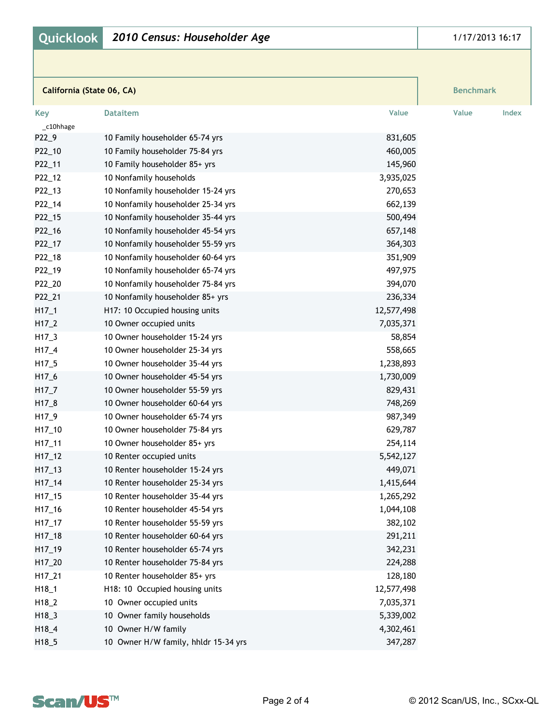|  | Quicklook   2010 Census: Householder Age |  |  |
|--|------------------------------------------|--|--|
|--|------------------------------------------|--|--|

| California (State 06, CA) |                                    | <b>Benchmark</b> |       |       |
|---------------------------|------------------------------------|------------------|-------|-------|
| <b>Key</b>                | <b>Dataitem</b>                    | Value            | Value | Index |
| _c10hhage                 |                                    |                  |       |       |
| P22_9                     | 10 Family householder 65-74 yrs    | 831,605          |       |       |
| P22_10                    | 10 Family householder 75-84 yrs    | 460,005          |       |       |
| P22_11                    | 10 Family householder 85+ yrs      | 145,960          |       |       |
| P22_12                    | 10 Nonfamily households            | 3,935,025        |       |       |
| P22_13                    | 10 Nonfamily householder 15-24 yrs | 270,653          |       |       |
| P22_14                    | 10 Nonfamily householder 25-34 yrs | 662,139          |       |       |
| P22_15                    | 10 Nonfamily householder 35-44 yrs | 500,494          |       |       |
| P22_16                    | 10 Nonfamily householder 45-54 yrs | 657,148          |       |       |
| P22_17                    | 10 Nonfamily householder 55-59 yrs | 364,303          |       |       |
| P22_18                    | 10 Nonfamily householder 60-64 yrs | 351,909          |       |       |
| P22_19                    | 10 Nonfamily householder 65-74 yrs | 497,975          |       |       |
| P22_20                    | 10 Nonfamily householder 75-84 yrs | 394,070          |       |       |
| P22_21                    | 10 Nonfamily householder 85+ yrs   | 236,334          |       |       |
| $H17_1$                   | H17: 10 Occupied housing units     | 12,577,498       |       |       |
| $H17_2$                   | 10 Owner occupied units            | 7,035,371        |       |       |
| $H17_3$                   | 10 Owner householder 15-24 yrs     | 58,854           |       |       |
| $H17_4$                   | 10 Owner householder 25-34 yrs     | 558,665          |       |       |
| $H17_5$                   | 10 Owner householder 35-44 yrs     | 1,238,893        |       |       |
| $H17_6$                   | 10 Owner householder 45-54 yrs     | 1,730,009        |       |       |
| $H17_7$                   | 10 Owner householder 55-59 yrs     | 829,431          |       |       |
| $H17_8$                   | 10 Owner householder 60-64 yrs     | 748,269          |       |       |
| H17_9                     | 10 Owner householder 65-74 yrs     | 987,349          |       |       |
| H17_10                    | 10 Owner householder 75-84 yrs     | 629,787          |       |       |
| $H17_111$                 | 10 Owner householder 85+ yrs       | 254,114          |       |       |
| $H17_12$                  | 10 Renter occupied units           | 5,542,127        |       |       |
| $H17_13$                  | 10 Renter householder 15-24 yrs    | 449,071          |       |       |
| $H17_114$                 | 10 Renter householder 25-34 yrs    | 1,415,644        |       |       |
| $H17_15$                  | 10 Renter householder 35-44 yrs    | 1,265,292        |       |       |
| $H17_16$                  | 10 Renter householder 45-54 yrs    | 1,044,108        |       |       |
| $H17_117$                 | 10 Renter householder 55-59 yrs    | 382,102          |       |       |
| $H17_18$                  | 10 Renter householder 60-64 yrs    | 291,211          |       |       |
| H17_19                    | 10 Renter householder 65-74 yrs    | 342,231          |       |       |
| H17_20                    | 10 Renter householder 75-84 yrs    | 224,288          |       |       |
| H17_21                    | 10 Renter householder 85+ yrs      | 128,180          |       |       |
| $H18_1$                   | H18: 10 Occupied housing units     | 12,577,498       |       |       |
| $H18_2$                   | 10 Owner occupied units            | 7,035,371        |       |       |
| $H18_3$                   | 10 Owner family households         | 5,339,002        |       |       |
| H18_4                     | 10 Owner H/W family                | 4,302,461        |       |       |



H18\_5 10 Owner H/W family, hhldr 15-34 yrs 347,287

## 1/17/2013 16:17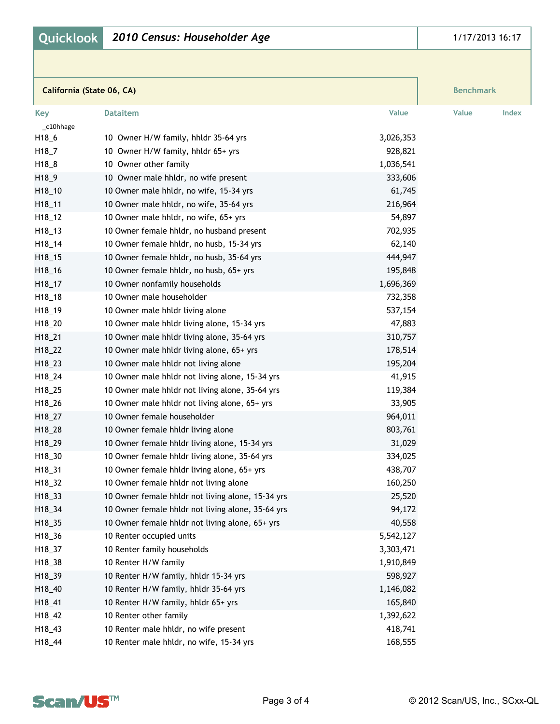| California (State 06, CA) |                                                   |           | <b>Benchmark</b> |
|---------------------------|---------------------------------------------------|-----------|------------------|
| Key                       | <b>Dataitem</b>                                   | Value     | Value<br>Index   |
| _c10hhage                 |                                                   |           |                  |
| H18_6                     | 10 Owner H/W family, hhldr 35-64 yrs              | 3,026,353 |                  |
| H18_7                     | 10 Owner H/W family, hhldr 65+ yrs                | 928,821   |                  |
| H18_8                     | 10 Owner other family                             | 1,036,541 |                  |
| H <sub>18_9</sub>         | 10 Owner male hhldr, no wife present              | 333,606   |                  |
| H18_10                    | 10 Owner male hhldr, no wife, 15-34 yrs           | 61,745    |                  |
| H18_11                    | 10 Owner male hhldr, no wife, 35-64 yrs           | 216,964   |                  |
| H18_12                    | 10 Owner male hhldr, no wife, 65+ yrs             | 54,897    |                  |
| H18_13                    | 10 Owner female hhldr, no husband present         | 702,935   |                  |
| H18_14                    | 10 Owner female hhldr, no husb, 15-34 yrs         | 62,140    |                  |
| H18_15                    | 10 Owner female hhldr, no husb, 35-64 yrs         | 444,947   |                  |
| H18_16                    | 10 Owner female hhldr, no husb, 65+ yrs           | 195,848   |                  |
| H18_17                    | 10 Owner nonfamily households                     | 1,696,369 |                  |
| H18_18                    | 10 Owner male householder                         | 732,358   |                  |
| H18_19                    | 10 Owner male hhldr living alone                  | 537,154   |                  |
| H18_20                    | 10 Owner male hhldr living alone, 15-34 yrs       | 47,883    |                  |
| H18_21                    | 10 Owner male hhldr living alone, 35-64 yrs       | 310,757   |                  |
| H18_22                    | 10 Owner male hhldr living alone, 65+ yrs         | 178,514   |                  |
| H18_23                    | 10 Owner male hhldr not living alone              | 195,204   |                  |
| H18_24                    | 10 Owner male hhldr not living alone, 15-34 yrs   | 41,915    |                  |
| H18_25                    | 10 Owner male hhldr not living alone, 35-64 yrs   | 119,384   |                  |
| H18_26                    | 10 Owner male hhldr not living alone, 65+ yrs     | 33,905    |                  |
| H18_27                    | 10 Owner female householder                       | 964,011   |                  |
| H18_28                    | 10 Owner female hhldr living alone                | 803,761   |                  |
| H18_29                    | 10 Owner female hhldr living alone, 15-34 yrs     | 31,029    |                  |
| H18_30                    | 10 Owner female hhldr living alone, 35-64 yrs     | 334,025   |                  |
| H18_31                    | 10 Owner female hhldr living alone, 65+ yrs       | 438,707   |                  |
| H <sub>18_32</sub>        | 10 Owner female hhldr not living alone            | 160,250   |                  |
| H18_33                    | 10 Owner female hhldr not living alone, 15-34 yrs | 25,520    |                  |
| H18_34                    | 10 Owner female hhldr not living alone, 35-64 yrs | 94,172    |                  |
| H18_35                    | 10 Owner female hhldr not living alone, 65+ yrs   | 40,558    |                  |
| H18_36                    | 10 Renter occupied units                          | 5,542,127 |                  |
| H18_37                    | 10 Renter family households                       | 3,303,471 |                  |
|                           | 10 Renter H/W family                              |           |                  |
| H18_38                    |                                                   | 1,910,849 |                  |
| H18_39                    | 10 Renter H/W family, hhldr 15-34 yrs             | 598,927   |                  |
| H18_40                    | 10 Renter H/W family, hhldr 35-64 yrs             | 1,146,082 |                  |
| H18_41                    | 10 Renter H/W family, hhldr 65+ yrs               | 165,840   |                  |
| H18_42                    | 10 Renter other family                            | 1,392,622 |                  |
| H18_43                    | 10 Renter male hhldr, no wife present             | 418,741   |                  |
| H18_44                    | 10 Renter male hhldr, no wife, 15-34 yrs          | 168,555   |                  |